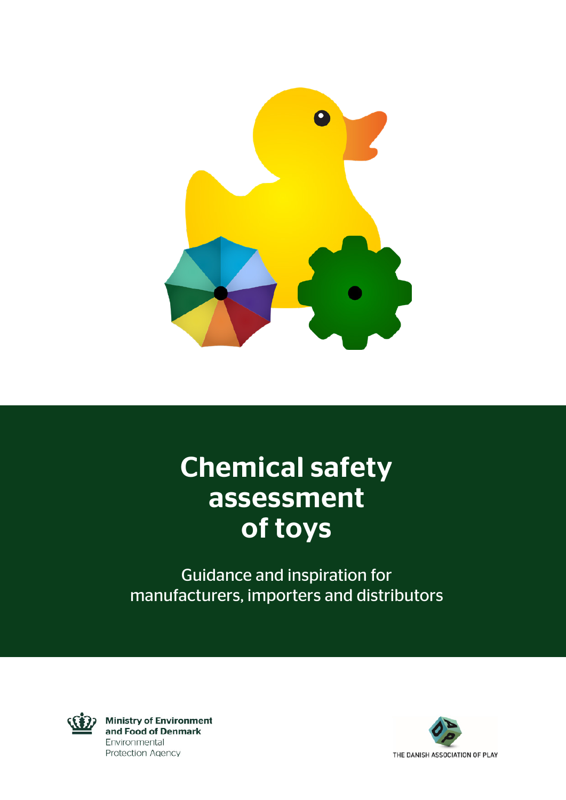

# Chemical safety assessment of toys

Guidance and inspiration for manufacturers, importers and distributors



**Ministry of Environment** and Food of Denmark Environmental **Protection Agency** 

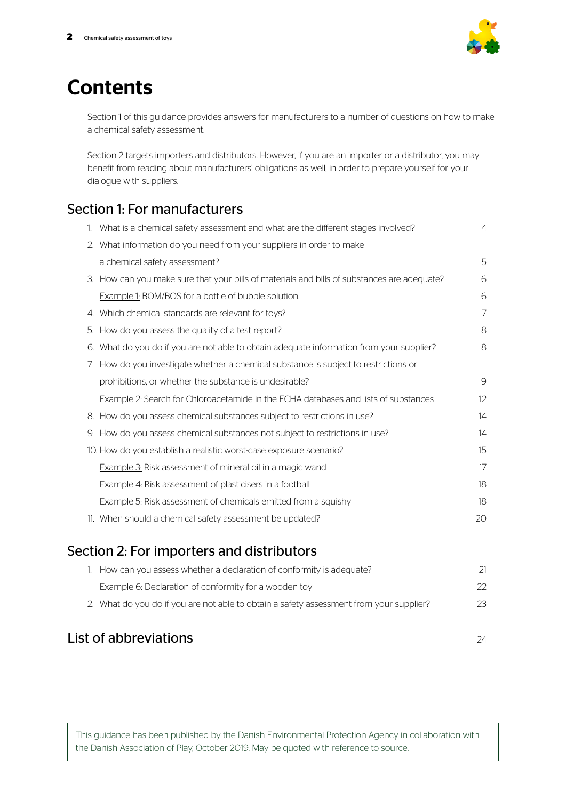

# **Contents**

Section 1 of this guidance provides answers for manufacturers to a number of questions on how to make a chemical safety assessment.

Section 2 targets importers and distributors. However, if you are an importer or a distributor, you may benefit from reading about manufacturers' obligations as well, in order to prepare yourself for your dialogue with suppliers.

# Section 1: For manufacturers

|    | 1. What is a chemical safety assessment and what are the different stages involved?         | $\overline{4}$ |
|----|---------------------------------------------------------------------------------------------|----------------|
|    | 2. What information do you need from your suppliers in order to make                        |                |
|    | a chemical safety assessment?                                                               | 5              |
|    | 3. How can you make sure that your bills of materials and bills of substances are adequate? | 6              |
|    | Example 1: BOM/BOS for a bottle of bubble solution.                                         | 6              |
|    | 4. Which chemical standards are relevant for toys?                                          | $\overline{7}$ |
| 5. | How do you assess the quality of a test report?                                             | 8              |
| 6. | What do you do if you are not able to obtain adequate information from your supplier?       | 8              |
|    | 7. How do you investigate whether a chemical substance is subject to restrictions or        |                |
|    | prohibitions, or whether the substance is undesirable?                                      | 9              |
|    | <b>Example 2:</b> Search for Chloroacetamide in the ECHA databases and lists of substances  | 12             |
|    | 8. How do you assess chemical substances subject to restrictions in use?                    | 14             |
|    | 9. How do you assess chemical substances not subject to restrictions in use?                | 14             |
|    | 10. How do you establish a realistic worst-case exposure scenario?                          | 15             |
|    | <b>Example 3:</b> Risk assessment of mineral oil in a magic wand                            | 17             |
|    | <b>Example 4:</b> Risk assessment of plasticisers in a football                             | 18             |
|    | <b>Example 5:</b> Risk assessment of chemicals emitted from a squishy                       | 18             |
|    | 11. When should a chemical safety assessment be updated?                                    | 20             |
|    |                                                                                             |                |

# Section 2: For importers and distributors

1. How can you assess whether a declaration of conformity is adequate? 21 Example 6: Declaration of conformity for a wooden toy example 6: Declaration of conformity for a wooden toy 2. What do you do if you are not able to obtain a safety assessment from your supplier? 23

# List of abbreviations  $\frac{24}{4}$

This guidance has been published by the Danish Environmental Protection Agency in collaboration with the Danish Association of Play, October 2019. May be quoted with reference to source.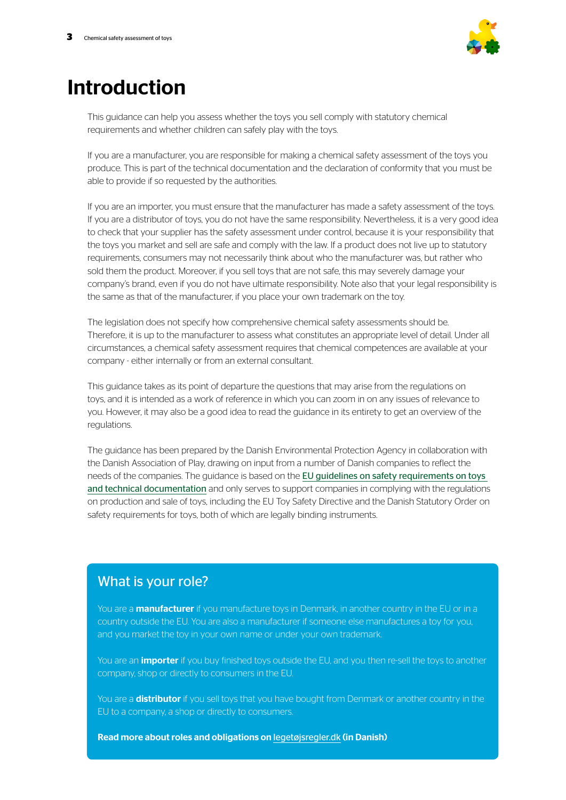

# Introduction

This guidance can help you assess whether the toys you sell comply with statutory chemical requirements and whether children can safely play with the toys.

If you are a manufacturer, you are responsible for making a chemical safety assessment of the toys you produce. This is part of the technical documentation and the declaration of conformity that you must be able to provide if so requested by the authorities.

If you are an importer, you must ensure that the manufacturer has made a safety assessment of the toys. If you are a distributor of toys, you do not have the same responsibility. Nevertheless, it is a very good idea to check that your supplier has the safety assessment under control, because it is your responsibility that the toys you market and sell are safe and comply with the law. If a product does not live up to statutory requirements, consumers may not necessarily think about who the manufacturer was, but rather who sold them the product. Moreover, if you sell toys that are not safe, this may severely damage your company's brand, even if you do not have ultimate responsibility. Note also that your legal responsibility is the same as that of the manufacturer, if you place your own trademark on the toy.

The legislation does not specify how comprehensive chemical safety assessments should be. Therefore, it is up to the manufacturer to assess what constitutes an appropriate level of detail. Under all circumstances, a chemical safety assessment requires that chemical competences are available at your company - either internally or from an external consultant.

This guidance takes as its point of departure the questions that may arise from the regulations on toys, and it is intended as a work of reference in which you can zoom in on any issues of relevance to you. However, it may also be a good idea to read the guidance in its entirety to get an overview of the regulations.

The guidance has been prepared by the Danish Environmental Protection Agency in collaboration with the Danish Association of Play, drawing on input from a number of Danish companies to reflect the needs of the companies. The guidance is based on the [EU guidelines on safety requirements on toys](http://ec.europa.eu/DocsRoom/documents/17190/attachments/1/translations)  [and technical documentation](http://ec.europa.eu/DocsRoom/documents/17190/attachments/1/translations) and only serves to support companies in complying with the regulations on production and sale of toys, including the EU Toy Safety Directive and the Danish Statutory Order on safety requirements for toys, both of which are legally binding instruments.

### What is your role?

You are a **manufacturer** if you manufacture toys in Denmark, in another country in the EU or in a country outside the EU. You are also a manufacturer if someone else manufactures a toy for you, and you market the toy in your own name or under your own trademark.

You are an *importer* if you buy finished toys outside the EU, and you then re-sell the toys to another company, shop or directly to consumers in the EU.

You are a **distributor** if you sell toys that you have bought from Denmark or another country in the EU to a company, a shop or directly to consumers.

Read more about roles and obligations on [legetøjsregler.dk](https://mst.dk/kemi/kemikalier/fokus-paa-saerlige-produkter/legetoej/) (in Danish)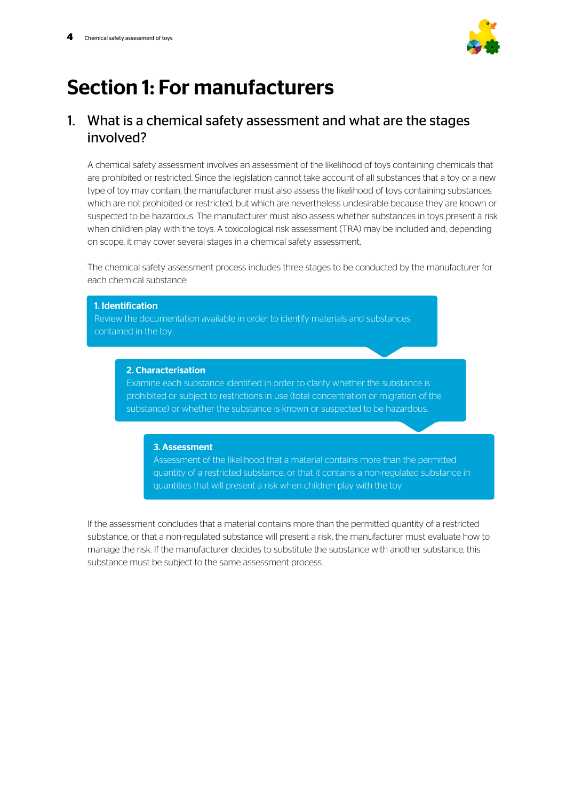

# Section 1: For manufacturers

### 1. What is a chemical safety assessment and what are the stages involved?

A chemical safety assessment involves an assessment of the likelihood of toys containing chemicals that are prohibited or restricted. Since the legislation cannot take account of all substances that a toy or a new type of toy may contain, the manufacturer must also assess the likelihood of toys containing substances which are not prohibited or restricted, but which are nevertheless undesirable because they are known or suspected to be hazardous. The manufacturer must also assess whether substances in toys present a risk when children play with the toys. A toxicological risk assessment (TRA) may be included and, depending on scope, it may cover several stages in a chemical safety assessment.

The chemical safety assessment process includes three stages to be conducted by the manufacturer for each chemical substance:

# 1. Identification Review the documentation available in order to identify materials and substances contained in the toy. 2. Characterisation Examine each substance identified in order to clarify whether the substance is

prohibited or subject to restrictions in use (total concentration or migration of the substance) or whether the substance is known or suspected to be hazardous.

### 3. Assessment

Assessment of the likelihood that a material contains more than the permitted quantity of a restricted substance, or that it contains a non-regulated substance in quantities that will present a risk when children play with the toy.

If the assessment concludes that a material contains more than the permitted quantity of a restricted substance, or that a non-regulated substance will present a risk, the manufacturer must evaluate how to manage the risk. If the manufacturer decides to substitute the substance with another substance, this substance must be subject to the same assessment process.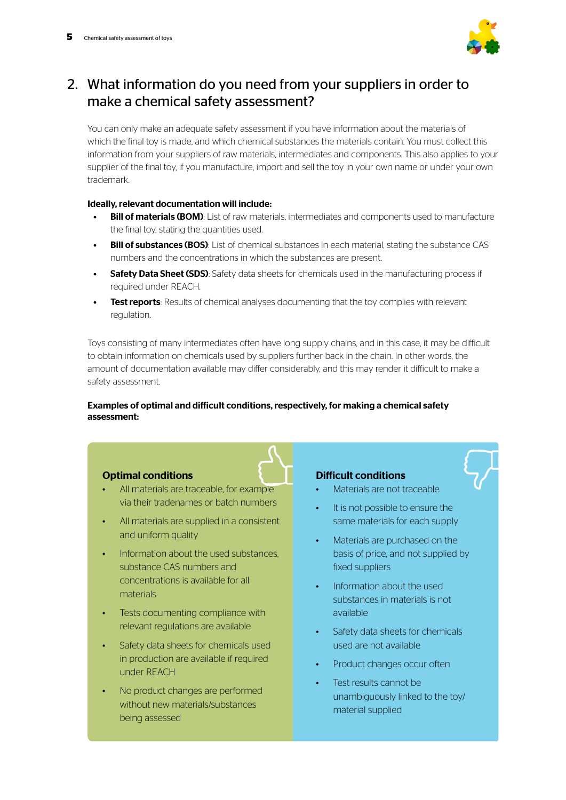

## 2. What information do you need from your suppliers in order to make a chemical safety assessment?

You can only make an adequate safety assessment if you have information about the materials of which the final toy is made, and which chemical substances the materials contain. You must collect this information from your suppliers of raw materials, intermediates and components. This also applies to your supplier of the final toy, if you manufacture, import and sell the toy in your own name or under your own trademark.

### Ideally, relevant documentation will include:

- **Bill of materials (BOM):** List of raw materials, intermediates and components used to manufacture the final toy, stating the quantities used.
- **Bill of substances (BOS):** List of chemical substances in each material, stating the substance CAS numbers and the concentrations in which the substances are present.
- **Safety Data Sheet (SDS):** Safety data sheets for chemicals used in the manufacturing process if required under REACH.
- **Test reports:** Results of chemical analyses documenting that the toy complies with relevant regulation.

Toys consisting of many intermediates often have long supply chains, and in this case, it may be difficult to obtain information on chemicals used by suppliers further back in the chain. In other words, the amount of documentation available may differ considerably, and this may render it difficult to make a safety assessment.

### Examples of optimal and difficult conditions, respectively, for making a chemical safety assessment:

### Optimal conditions

- All materials are traceable, for example via their tradenames or batch numbers
- All materials are supplied in a consistent and uniform quality
- Information about the used substances, substance CAS numbers and concentrations is available for all materials
- Tests documenting compliance with relevant regulations are available
- Safety data sheets for chemicals used in production are available if required under REACH
- No product changes are performed without new materials/substances being assessed

### Difficult conditions

- Materials are not traceable
- It is not possible to ensure the same materials for each supply
- Materials are purchased on the basis of price, and not supplied by fixed suppliers
- Information about the used substances in materials is not available
- Safety data sheets for chemicals used are not available
- Product changes occur often
- Test results cannot be unambiguously linked to the toy/ material supplied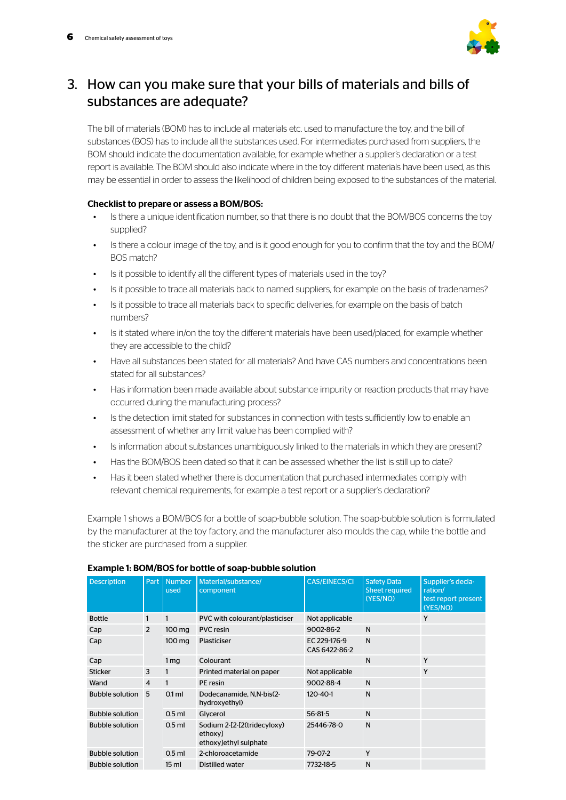

## 3. How can you make sure that your bills of materials and bills of substances are adequate?

The bill of materials (BOM) has to include all materials etc. used to manufacture the toy, and the bill of substances (BOS) has to include all the substances used. For intermediates purchased from suppliers, the BOM should indicate the documentation available, for example whether a supplier's declaration or a test report is available. The BOM should also indicate where in the toy different materials have been used, as this may be essential in order to assess the likelihood of children being exposed to the substances of the material.

### Checklist to prepare or assess a BOM/BOS:

- Is there a unique identification number, so that there is no doubt that the BOM/BOS concerns the toy supplied?
- Is there a colour image of the toy, and is it good enough for you to confirm that the toy and the BOM/ BOS match?
- Is it possible to identify all the different types of materials used in the toy?
- Is it possible to trace all materials back to named suppliers, for example on the basis of tradenames?
- Is it possible to trace all materials back to specific deliveries, for example on the basis of batch numbers?
- Is it stated where in/on the toy the different materials have been used/placed, for example whether they are accessible to the child?
- Have all substances been stated for all materials? And have CAS numbers and concentrations been stated for all substances?
- Has information been made available about substance impurity or reaction products that may have occurred during the manufacturing process?
- Is the detection limit stated for substances in connection with tests sufficiently low to enable an assessment of whether any limit value has been complied with?
- Is information about substances unambiguously linked to the materials in which they are present?
- Has the BOM/BOS been dated so that it can be assessed whether the list is still up to date?
- Has it been stated whether there is documentation that purchased intermediates comply with relevant chemical requirements, for example a test report or a supplier's declaration?

Example 1 shows a BOM/BOS for a bottle of soap-bubble solution. The soap-bubble solution is formulated by the manufacturer at the toy factory, and the manufacturer also moulds the cap, while the bottle and the sticker are purchased from a supplier.

| <b>Description</b>     | Part           | <b>Number</b><br>used | Material/substance/<br>component                                | <b>CAS/EINECS/CI</b>          | <b>Safety Data</b><br>Sheet required<br>(YES/NO) | Supplier's decla-<br>ration/<br>test report present<br>(YES/NO) |
|------------------------|----------------|-----------------------|-----------------------------------------------------------------|-------------------------------|--------------------------------------------------|-----------------------------------------------------------------|
| <b>Bottle</b>          |                |                       | PVC with colourant/plasticiser                                  | Not applicable                |                                                  | Y                                                               |
| Cap                    | 2              | 100 mg                | <b>PVC</b> resin                                                | 9002-86-2                     | N                                                |                                                                 |
| Cap                    | 100 mg         |                       | Plasticiser                                                     | EC 229-176-9<br>CAS 6422-86-2 | N                                                |                                                                 |
| Cap                    |                | 1 <sub>mq</sub>       | Colourant                                                       |                               | N                                                | Y                                                               |
| <b>Sticker</b>         | 3              | 1                     | Printed material on paper                                       | Not applicable                |                                                  | Y                                                               |
| Wand                   | $\overline{4}$ | 1                     | PE resin                                                        | 9002-88-4                     | N                                                |                                                                 |
| <b>Bubble solution</b> | 5              | $0.1$ ml              | Dodecanamide, N.N-bis(2-<br>hydroxyethyl)                       | 120-40-1                      | N                                                |                                                                 |
| <b>Bubble solution</b> |                | $0.5$ ml              | Glycerol                                                        | $56 - 81 - 5$                 | N                                                |                                                                 |
| <b>Bubble solution</b> |                |                       | Sodium 2-[2-[2(tridecyloxy)<br>ethoxy]<br>ethoxy]ethyl sulphate | 25446-78-0                    | N                                                |                                                                 |
| <b>Bubble solution</b> |                | $0.5$ ml              | 2-chloroacetamide                                               | 79-07-2                       | Y                                                |                                                                 |
| <b>Bubble solution</b> |                | 15 <sub>ml</sub>      | Distilled water                                                 | 7732-18-5                     | N                                                |                                                                 |

### Example 1: BOM/BOS for bottle of soap-bubble solution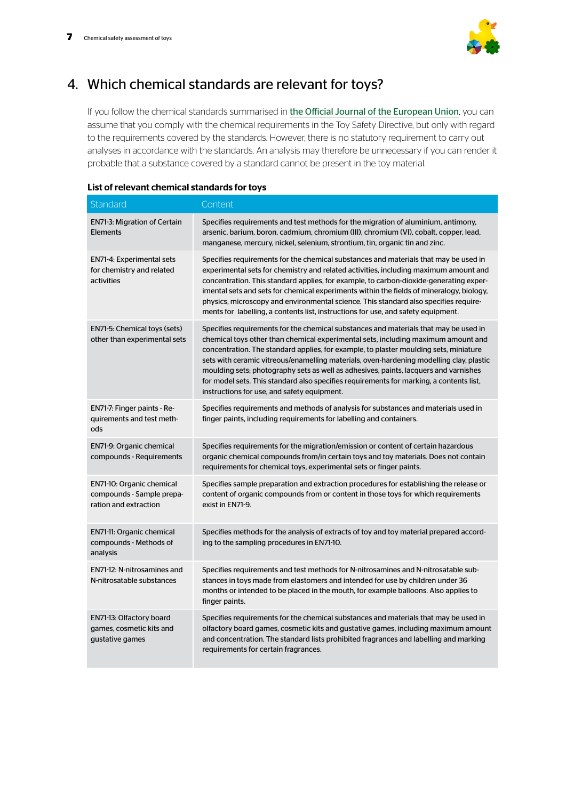

# 4. Which chemical standards are relevant for toys?

If you follow the chemical standards summarised in [the Official Journal of the European Union](https://eur-lex.europa.eu/oj/direct-access.html?locale=en), you can assume that you comply with the chemical requirements in the Toy Safety Directive, but only with regard to the requirements covered by the standards. However, there is no statutory requirement to carry out analyses in accordance with the standards. An analysis may therefore be unnecessary if you can render it probable that a substance covered by a standard cannot be present in the toy material.

| Standard                                                                        | Content                                                                                                                                                                                                                                                                                                                                                                                                                                                                                                                                                                                         |
|---------------------------------------------------------------------------------|-------------------------------------------------------------------------------------------------------------------------------------------------------------------------------------------------------------------------------------------------------------------------------------------------------------------------------------------------------------------------------------------------------------------------------------------------------------------------------------------------------------------------------------------------------------------------------------------------|
| <b>EN71-3: Migration of Certain</b><br><b>Elements</b>                          | Specifies requirements and test methods for the migration of aluminium, antimony,<br>arsenic, barium, boron, cadmium, chromium (III), chromium (VI), cobalt, copper, lead,<br>manganese, mercury, nickel, selenium, strontium, tin, organic tin and zinc.                                                                                                                                                                                                                                                                                                                                       |
| <b>EN71-4: Experimental sets</b><br>for chemistry and related<br>activities     | Specifies requirements for the chemical substances and materials that may be used in<br>experimental sets for chemistry and related activities, including maximum amount and<br>concentration. This standard applies, for example, to carbon-dioxide-generating exper-<br>imental sets and sets for chemical experiments within the fields of mineralogy, biology,<br>physics, microscopy and environmental science. This standard also specifies require-<br>ments for labelling, a contents list, instructions for use, and safety equipment.                                                 |
| EN71-5: Chemical toys (sets)<br>other than experimental sets                    | Specifies requirements for the chemical substances and materials that may be used in<br>chemical toys other than chemical experimental sets, including maximum amount and<br>concentration. The standard applies, for example, to plaster moulding sets, miniature<br>sets with ceramic vitreous/enamelling materials, oven-hardening modelling clay, plastic<br>moulding sets; photography sets as well as adhesives, paints, lacquers and varnishes<br>for model sets. This standard also specifies requirements for marking, a contents list,<br>instructions for use, and safety equipment. |
| EN71-7: Finger paints - Re-<br>quirements and test meth-<br>ods                 | Specifies requirements and methods of analysis for substances and materials used in<br>finger paints, including requirements for labelling and containers.                                                                                                                                                                                                                                                                                                                                                                                                                                      |
| EN71-9: Organic chemical<br>compounds - Requirements                            | Specifies requirements for the migration/emission or content of certain hazardous<br>organic chemical compounds from/in certain toys and toy materials. Does not contain<br>requirements for chemical toys, experimental sets or finger paints.                                                                                                                                                                                                                                                                                                                                                 |
| EN71-10: Organic chemical<br>compounds - Sample prepa-<br>ration and extraction | Specifies sample preparation and extraction procedures for establishing the release or<br>content of organic compounds from or content in those toys for which requirements<br>exist in EN71-9.                                                                                                                                                                                                                                                                                                                                                                                                 |
| EN71-11: Organic chemical<br>compounds - Methods of<br>analysis                 | Specifies methods for the analysis of extracts of toy and toy material prepared accord-<br>ing to the sampling procedures in EN71-10.                                                                                                                                                                                                                                                                                                                                                                                                                                                           |
| EN71-12: N-nitrosamines and<br>N-nitrosatable substances                        | Specifies requirements and test methods for N-nitrosamines and N-nitrosatable sub-<br>stances in toys made from elastomers and intended for use by children under 36<br>months or intended to be placed in the mouth, for example balloons. Also applies to<br>finger paints.                                                                                                                                                                                                                                                                                                                   |
| EN71-13: Olfactory board<br>games, cosmetic kits and<br>gustative games         | Specifies requirements for the chemical substances and materials that may be used in<br>olfactory board games, cosmetic kits and gustative games, including maximum amount<br>and concentration. The standard lists prohibited fragrances and labelling and marking<br>requirements for certain fragrances.                                                                                                                                                                                                                                                                                     |

### List of relevant chemical standards for toys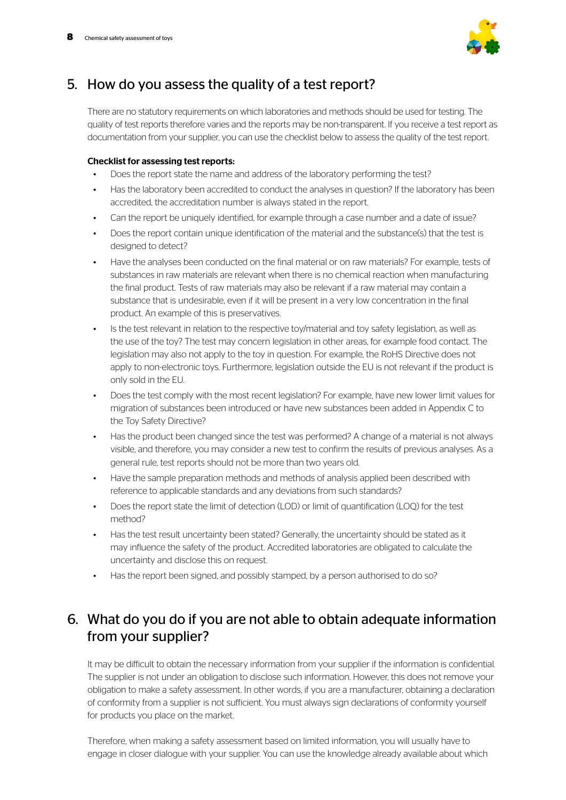

### 5. How do you assess the quality of a test report?

There are no statutory requirements on which laboratories and methods should be used for testing. The quality of test reports therefore varies and the reports may be non-transparent. If you receive a test report as documentation from your supplier, you can use the checklist below to assess the quality of the test report.

### Checklist for assessing test reports:

- Does the report state the name and address of the laboratory performing the test?
- Has the laboratory been accredited to conduct the analyses in question? If the laboratory has been accredited, the accreditation number is always stated in the report.
- Can the report be uniquely identified, for example through a case number and a date of issue?
- Does the report contain unique identification of the material and the substance(s) that the test is designed to detect?
- Have the analyses been conducted on the final material or on raw materials? For example, tests of substances in raw materials are relevant when there is no chemical reaction when manufacturing the final product. Tests of raw materials may also be relevant if a raw material may contain a substance that is undesirable, even if it will be present in a very low concentration in the final product. An example of this is preservatives.
- Is the test relevant in relation to the respective toy/material and toy safety legislation, as well as the use of the toy? The test may concern legislation in other areas, for example food contact. The legislation may also not apply to the toy in question. For example, the RoHS Directive does not apply to non-electronic toys. Furthermore, legislation outside the EU is not relevant if the product is only sold in the EU.
- Does the test comply with the most recent legislation? For example, have new lower limit values for migration of substances been introduced or have new substances been added in Appendix C to the Toy Safety Directive?
- Has the product been changed since the test was performed? A change of a material is not always visible, and therefore, you may consider a new test to confirm the results of previous analyses. As a general rule, test reports should not be more than two years old.
- Have the sample preparation methods and methods of analysis applied been described with reference to applicable standards and any deviations from such standards?
- Does the report state the limit of detection (LOD) or limit of quantification (LOQ) for the test method?
- Has the test result uncertainty been stated? Generally, the uncertainty should be stated as it may influence the safety of the product. Accredited laboratories are obligated to calculate the uncertainty and disclose this on request.
- Has the report been signed, and possibly stamped, by a person authorised to do so?

## 6. What do you do if you are not able to obtain adequate information from your supplier?

It may be difficult to obtain the necessary information from your supplier if the information is confidential. The supplier is not under an obligation to disclose such information. However, this does not remove your obligation to make a safety assessment. In other words, if you are a manufacturer, obtaining a declaration of conformity from a supplier is not sufficient. You must always sign declarations of conformity yourself for products you place on the market.

Therefore, when making a safety assessment based on limited information, you will usually have to engage in closer dialogue with your supplier. You can use the knowledge already available about which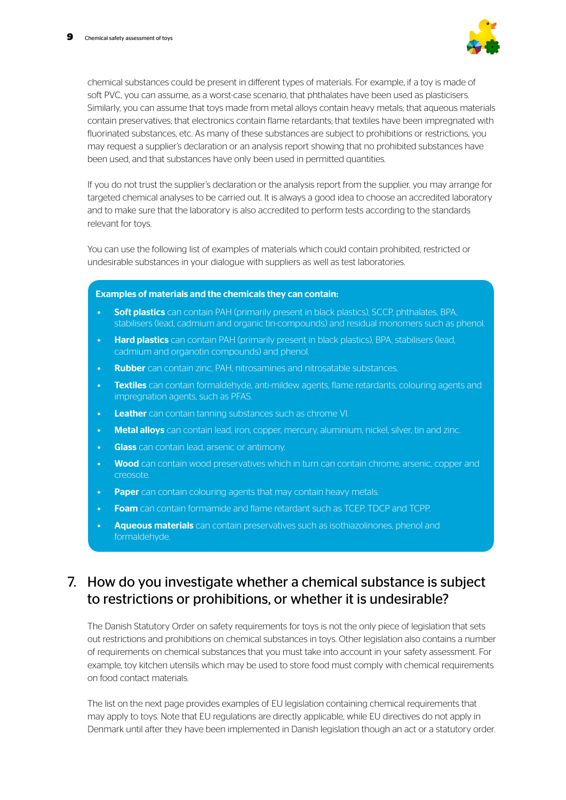

chemical substances could be present in different types of materials. For example, if a toy is made of soft PVC, you can assume, as a worst-case scenario, that phthalates have been used as plasticisers. Similarly, you can assume that toys made from metal alloys contain heavy metals; that aqueous materials contain preservatives; that electronics contain flame retardants; that textiles have been impregnated with fluorinated substances, etc. As many of these substances are subject to prohibitions or restrictions, you may request a supplier's declaration or an analysis report showing that no prohibited substances have been used, and that substances have only been used in permitted quantities.

If you do not trust the supplier's declaration or the analysis report from the supplier, you may arrange for targeted chemical analyses to be carried out. It is always a good idea to choose an accredited laboratory and to make sure that the laboratory is also accredited to perform tests according to the standards relevant for toys.

You can use the following list of examples of materials which could contain prohibited, restricted or undesirable substances in your dialogue with suppliers as well as test laboratories.

#### Examples of materials and the chemicals they can contain:

- **Soft plastics** can contain PAH (primarily present in black plastics), SCCP, phthalates, BPA, stabilisers (lead, cadmium and organic tin-compounds) and residual monomers such as phenol.
- **Hard plastics** can contain PAH (primarily present in black plastics), BPA, stabilisers (lead, cadmium and organotin compounds) and phenol.
- Rubber can contain zinc, PAH, nitrosamines and nitrosatable substances.
- **Textiles** can contain formaldehyde, anti-mildew agents, flame retardants, colouring agents and impregnation agents, such as PFAS.
- **Leather** can contain tanning substances such as chrome VI.
- **Metal alloys** can contain lead, iron, copper, mercury, aluminium, nickel, silver, tin and zinc.
- **Glass** can contain lead, arsenic or antimony.
- Wood can contain wood preservatives which in turn can contain chrome, arsenic, copper and creosote.
- **Paper** can contain colouring agents that may contain heavy metals.
- **Foam** can contain formamide and flame retardant such as TCEP, TDCP and TCPP.
- Aqueous materials can contain preservatives such as isothiazolinones, phenol and formaldehyde.

### 7. How do you investigate whether a chemical substance is subject to restrictions or prohibitions, or whether it is undesirable?

The Danish Statutory Order on safety requirements for toys is not the only piece of legislation that sets out restrictions and prohibitions on chemical substances in toys. Other legislation also contains a number of requirements on chemical substances that you must take into account in your safety assessment. For example, toy kitchen utensils which may be used to store food must comply with chemical requirements on food contact materials.

The list on the next page provides examples of EU legislation containing chemical requirements that may apply to toys. Note that EU regulations are directly applicable, while EU directives do not apply in Denmark until after they have been implemented in Danish legislation though an act or a statutory order.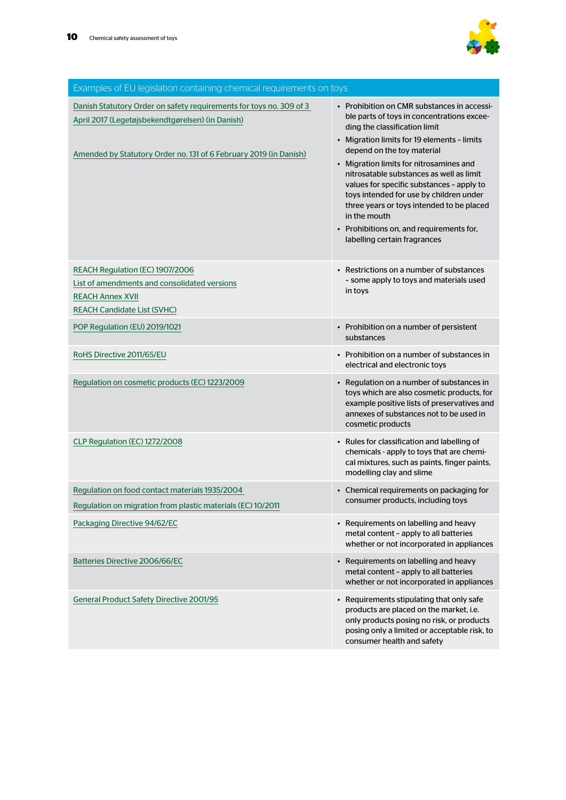

| Examples of EU legislation containing chemical requirements on toys                                                                                                                          |                                                                                                                                                                                                                                                                                                                                                                                                                                                                                                                                 |
|----------------------------------------------------------------------------------------------------------------------------------------------------------------------------------------------|---------------------------------------------------------------------------------------------------------------------------------------------------------------------------------------------------------------------------------------------------------------------------------------------------------------------------------------------------------------------------------------------------------------------------------------------------------------------------------------------------------------------------------|
| Danish Statutory Order on safety requirements for toys no. 309 of 3<br>April 2017 (Legetøjsbekendtgørelsen) (in Danish)<br>Amended by Statutory Order no. 131 of 6 February 2019 (in Danish) | • Prohibition on CMR substances in accessi-<br>ble parts of toys in concentrations excee-<br>ding the classification limit<br>• Migration limits for 19 elements - limits<br>depend on the toy material<br>• Migration limits for nitrosamines and<br>nitrosatable substances as well as limit<br>values for specific substances - apply to<br>toys intended for use by children under<br>three years or toys intended to be placed<br>in the mouth<br>• Prohibitions on, and requirements for,<br>labelling certain fragrances |
| REACH Regulation (EC) 1907/2006<br>List of amendments and consolidated versions<br><b>REACH Annex XVII</b><br><b>REACH Candidate List (SVHC)</b>                                             | • Restrictions on a number of substances<br>- some apply to toys and materials used<br>in toys                                                                                                                                                                                                                                                                                                                                                                                                                                  |
| POP Regulation (EU) 2019/1021                                                                                                                                                                | • Prohibition on a number of persistent<br>substances                                                                                                                                                                                                                                                                                                                                                                                                                                                                           |
| RoHS Directive 2011/65/EU                                                                                                                                                                    | • Prohibition on a number of substances in<br>electrical and electronic toys                                                                                                                                                                                                                                                                                                                                                                                                                                                    |
| Regulation on cosmetic products (EC) 1223/2009                                                                                                                                               | • Regulation on a number of substances in<br>toys which are also cosmetic products, for<br>example positive lists of preservatives and<br>annexes of substances not to be used in<br>cosmetic products                                                                                                                                                                                                                                                                                                                          |
| CLP Regulation (EC) 1272/2008                                                                                                                                                                | • Rules for classification and labelling of<br>chemicals - apply to toys that are chemi-<br>cal mixtures, such as paints, finger paints,<br>modelling clay and slime                                                                                                                                                                                                                                                                                                                                                            |
| Regulation on food contact materials 1935/2004<br>Regulation on migration from plastic materials (EC) 10/2011                                                                                | • Chemical requirements on packaging for<br>consumer products, including toys                                                                                                                                                                                                                                                                                                                                                                                                                                                   |
| Packaging Directive 94/62/EC                                                                                                                                                                 | • Requirements on labelling and heavy<br>metal content - apply to all batteries<br>whether or not incorporated in appliances                                                                                                                                                                                                                                                                                                                                                                                                    |
| Batteries Directive 2006/66/EC                                                                                                                                                               | • Requirements on labelling and heavy<br>metal content - apply to all batteries<br>whether or not incorporated in appliances                                                                                                                                                                                                                                                                                                                                                                                                    |
| <b>General Product Safety Directive 2001/95</b>                                                                                                                                              | • Requirements stipulating that only safe<br>products are placed on the market, i.e.<br>only products posing no risk, or products<br>posing only a limited or acceptable risk, to<br>consumer health and safety                                                                                                                                                                                                                                                                                                                 |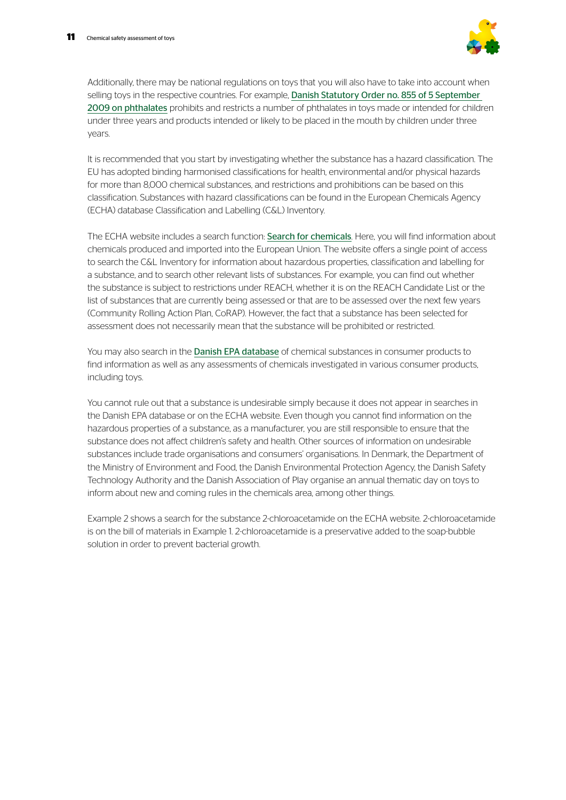

Additionally, there may be national regulations on toys that you will also have to take into account when selling toys in the respective countries. For example, Danish Statutory Order no. 855 of 5 September [2009 on phthalates](https://www.retsinformation.dk/forms/r0710.aspx?id=126137) prohibits and restricts a number of phthalates in toys made or intended for children under three years and products intended or likely to be placed in the mouth by children under three years.

It is recommended that you start by investigating whether the substance has a hazard classification. The EU has adopted binding harmonised classifications for health, environmental and/or physical hazards for more than 8,000 chemical substances, and restrictions and prohibitions can be based on this classification. Substances with hazard classifications can be found in the European Chemicals Agency (ECHA) database Classification and Labelling (C&L) Inventory.

The ECHA website includes a search function: [Search for chemicals](https://echa.europa.eu/en/information-on-chemicals). Here, you will find information about chemicals produced and imported into the European Union. The website offers a single point of access to search the C&L Inventory for information about hazardous properties, classification and labelling for a substance, and to search other relevant lists of substances. For example, you can find out whether the substance is subject to restrictions under REACH, whether it is on the REACH Candidate List or the list of substances that are currently being assessed or that are to be assessed over the next few years (Community Rolling Action Plan, CoRAP). However, the fact that a substance has been selected for assessment does not necessarily mean that the substance will be prohibited or restricted.

You may also search in the **[Danish EPA database](https://eng.mst.dk/chemicals/chemicals-in-products/consumers-consumer-products/database-of-chemicals-in-consumer-products/)** of chemical substances in consumer products to find information as well as any assessments of chemicals investigated in various consumer products, including toys.

You cannot rule out that a substance is undesirable simply because it does not appear in searches in the Danish EPA database or on the ECHA website. Even though you cannot find information on the hazardous properties of a substance, as a manufacturer, you are still responsible to ensure that the substance does not affect children's safety and health. Other sources of information on undesirable substances include trade organisations and consumers' organisations. In Denmark, the Department of the Ministry of Environment and Food, the Danish Environmental Protection Agency, the Danish Safety Technology Authority and the Danish Association of Play organise an annual thematic day on toys to inform about new and coming rules in the chemicals area, among other things.

Example 2 shows a search for the substance 2-chloroacetamide on the ECHA website. 2-chloroacetamide is on the bill of materials in Example 1. 2-chloroacetamide is a preservative added to the soap-bubble solution in order to prevent bacterial growth.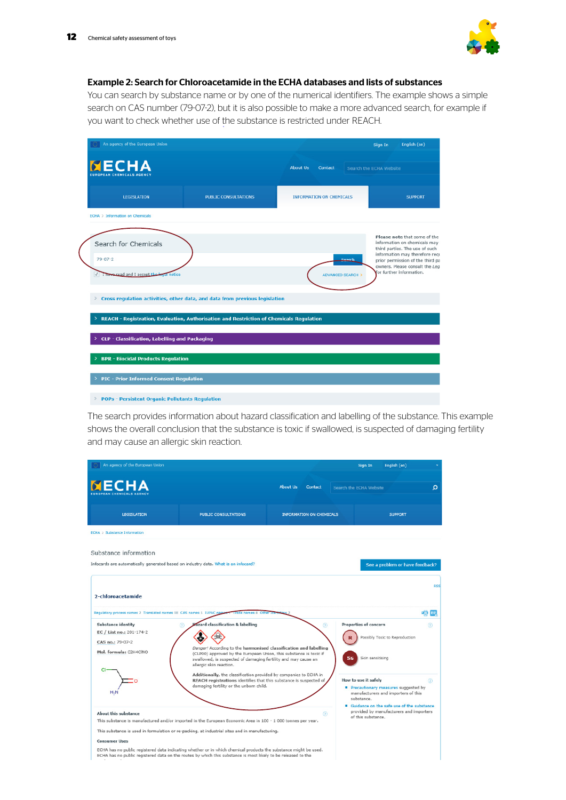

### Example 2: Search for Chloroacetamide in the ECHA databases and lists of substances

You can search by substance name or by one of the numerical identifiers. The example shows a simple search on CAS number (79-07-2), but it is also possible to make a more advanced search, for example if you want to check whether use of the substance is restricted under REACH.

| An agency of the European Union                                                              |                                                                             |                                 |                                       | English (en)<br>Sign In                                                                                                                                                                                                            |  |
|----------------------------------------------------------------------------------------------|-----------------------------------------------------------------------------|---------------------------------|---------------------------------------|------------------------------------------------------------------------------------------------------------------------------------------------------------------------------------------------------------------------------------|--|
| <b>NECHA</b><br><b>FUROPEAN CHEMICALS AGENCY</b>                                             |                                                                             | <b>About Us</b><br>Contact      |                                       | Search the ECHA Website                                                                                                                                                                                                            |  |
| <b>LEGISLATION</b>                                                                           | <b>PUBLIC CONSULTATIONS</b>                                                 | <b>INFORMATION ON CHEMICALS</b> |                                       | <b>SUPPORT</b>                                                                                                                                                                                                                     |  |
| <b>ECHA</b> > Information on Chemicals                                                       |                                                                             |                                 |                                       |                                                                                                                                                                                                                                    |  |
| Search for Chemicals<br>$79 - 07 - 2$<br>I have read and I accept the legal notice           |                                                                             |                                 | Coarch<br><b>ADVANCED SEARCH &gt;</b> | Please note that some of the<br>information on chemicals may<br>third parties. The use of such<br>information may therefore requ<br>prior permission of the third pa<br>owners. Please consult the Leg<br>for further information. |  |
| ×                                                                                            | Cross regulation activities, other data, and data from previous legislation |                                 |                                       |                                                                                                                                                                                                                                    |  |
| REACH - Registration, Evaluation, Authorisation and Restriction of Chemicals Regulation<br>> |                                                                             |                                 |                                       |                                                                                                                                                                                                                                    |  |
| CLP - Classification, Labelling and Packaging<br>٠                                           |                                                                             |                                 |                                       |                                                                                                                                                                                                                                    |  |
| <b>BPR - Biocidal Products Regulation</b><br>>                                               |                                                                             |                                 |                                       |                                                                                                                                                                                                                                    |  |
| <b>PIC - Prior Informed Consent Regulation</b><br>>                                          |                                                                             |                                 |                                       |                                                                                                                                                                                                                                    |  |
| <b>POPs - Persistent Organic Pollutants Regulation</b><br>$\rightarrow$                      |                                                                             |                                 |                                       |                                                                                                                                                                                                                                    |  |

The search provides information about hazard classification and labelling of the substance. This example shows the overall conclusion that the substance is toxic if swallowed, is suspected of damaging fertility and may cause an allergic skin reaction.

| An agency of the European Union                                                    |                                                                                                                                                                 |                                                                  | Sign In                      | English (en)                                                                      |                |
|------------------------------------------------------------------------------------|-----------------------------------------------------------------------------------------------------------------------------------------------------------------|------------------------------------------------------------------|------------------------------|-----------------------------------------------------------------------------------|----------------|
| <b>NECHA</b>                                                                       |                                                                                                                                                                 | About Us<br><b>Contact</b>                                       | Search the ECHA Website      |                                                                                   | Ω              |
| <b>LEGISLATION</b>                                                                 | <b>PUBLIC CONSULTATIONS</b>                                                                                                                                     | <b>INFORMATION ON CHEMICALS</b>                                  |                              | <b>SUPPORT</b>                                                                    |                |
| <b>ECHA &gt; Substance Information</b>                                             |                                                                                                                                                                 |                                                                  |                              |                                                                                   |                |
| Substance information                                                              |                                                                                                                                                                 |                                                                  |                              |                                                                                   |                |
| Infocards are automatically generated based on industry data. What is an infocard? |                                                                                                                                                                 |                                                                  |                              | See a problem or have feedback?                                                   |                |
|                                                                                    |                                                                                                                                                                 |                                                                  |                              |                                                                                   | <b>RSS</b>     |
| 2-chloroacetamide                                                                  |                                                                                                                                                                 |                                                                  |                              |                                                                                   |                |
|                                                                                    | Regulatory process names 2 Translated names 18 CAS names 1 IUPAC names 1 Trade names 8 Other                                                                    |                                                                  |                              |                                                                                   | <b>EE</b> BP   |
| <b>Substance identity</b>                                                          | azard classification & labelling<br>$\circledR$                                                                                                                 | $\circ$                                                          | <b>Properties of concern</b> |                                                                                   | (2)            |
| EC / List no.: 201-174-2                                                           |                                                                                                                                                                 |                                                                  |                              | Possibly Toxic to Reproduction                                                    |                |
| CAS no.: 79-07-2                                                                   |                                                                                                                                                                 |                                                                  |                              |                                                                                   |                |
|                                                                                    |                                                                                                                                                                 |                                                                  |                              |                                                                                   |                |
| Mol. formula: C2H4CINO                                                             | (CLP00) approved by the European Union, this substance is toxic if<br>swallowed, is suspected of damaging fertility and may cause an<br>allergic skin reaction. | Danger! According to the harmonised classification and labelling | Skin sensitising<br>Ss       |                                                                                   |                |
|                                                                                    | Additionally, the classification provided by companies to ECHA in                                                                                               |                                                                  |                              |                                                                                   |                |
|                                                                                    | REACH registrations identifies that this substance is suspected of                                                                                              |                                                                  | How to use it safely         |                                                                                   |                |
| H <sub>-N</sub>                                                                    | damaging fertility or the unborn child.                                                                                                                         |                                                                  | substance.                   | <b>Precautionary measures suggested by</b><br>manufacturers and importers of this |                |
|                                                                                    |                                                                                                                                                                 |                                                                  |                              | " Guidance on the safe use of the substance                                       |                |
| <b>About this substance</b>                                                        |                                                                                                                                                                 | $\circ$                                                          | of this substance.           | provided by manufacturers and importers                                           |                |
|                                                                                    | This substance is manufactured and/or imported in the European Economic Area in 100 - 1 000 tonnes per year.                                                    |                                                                  |                              |                                                                                   | $\circledcirc$ |
| <b>Consumer Uses</b>                                                               | This substance is used in formulation or re-packing, at industrial sites and in manufacturing.                                                                  |                                                                  |                              |                                                                                   |                |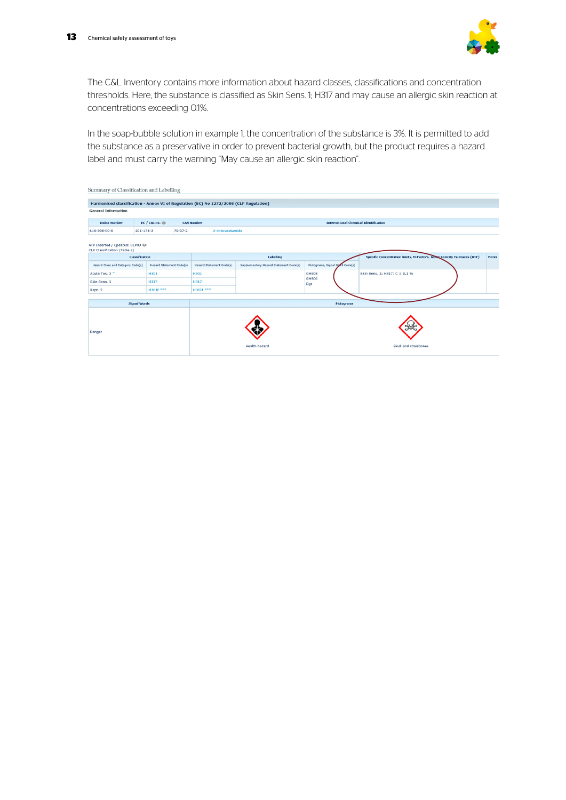

The C&L Inventory contains more information about hazard classes, classifications and concentration thresholds. Here, the substance is classified as Skin Sens. 1; H317 and may cause an allergic skin reaction at concentrations exceeding 0.1%.

In the soap-bubble solution in example 1, the concentration of the substance is 3%. It is permitted to add the substance as a preservative in order to prevent bacterial growth, but the product requires a hazard label and must carry the warning "May cause an allergic skin reaction".

| Summary of Classification and Labelling                                               |                                    |                                 |               |                                              |                      |                                        |                                 |                                                                                  |              |
|---------------------------------------------------------------------------------------|------------------------------------|---------------------------------|---------------|----------------------------------------------|----------------------|----------------------------------------|---------------------------------|----------------------------------------------------------------------------------|--------------|
| Harmonised classification - Annex VI of Regulation (EC) No 1272/2008 (CLP Regulation) |                                    |                                 |               |                                              |                      |                                        |                                 |                                                                                  |              |
| <b>General Information</b>                                                            |                                    |                                 |               |                                              |                      |                                        |                                 |                                                                                  |              |
| <b>Index Number</b>                                                                   | EC / List no.<br><b>CAS Number</b> |                                 |               | <b>International Chemical Identification</b> |                      |                                        |                                 |                                                                                  |              |
| $616 - 036 - 00 - 0$                                                                  | $201 - 174 - 2$                    |                                 | $79 - 07 - 2$ |                                              | 2-chloracetamide     |                                        |                                 |                                                                                  |              |
| ATP Inserted / Updated: CLP00 @<br>CLP Classification (Table 3)                       |                                    |                                 |               |                                              |                      |                                        |                                 |                                                                                  |              |
|                                                                                       | <b>Classification</b>              |                                 |               | Labelling                                    |                      |                                        |                                 | <b>Specific Concentration limits, M-Factors, Actric Toxicity Estimates (ATE)</b> | <b>Notes</b> |
| Hazard Class and Category Code(s)                                                     |                                    | <b>Hazard Statement Code(s)</b> |               | Hazard Statement Code(s)                     |                      | Supplementary Hazard Statement Code(s) | Pictograms, Signal Word Code(s) |                                                                                  |              |
| Acute Tox. 3 *                                                                        |                                    | <b>H301</b>                     |               | H301                                         |                      |                                        | GHS08<br>GHS06<br>Dgr           | Skin Sens. 1: H317: C ≥ 0.1 %                                                    |              |
| Skin Sens. 1                                                                          |                                    | H317                            |               | H317                                         |                      |                                        |                                 |                                                                                  |              |
| Repr. 2                                                                               |                                    | H361f ***                       |               | H361f ***                                    |                      |                                        |                                 |                                                                                  |              |
|                                                                                       |                                    |                                 |               |                                              |                      |                                        |                                 |                                                                                  |              |
|                                                                                       | <b>Signal Words</b>                |                                 |               |                                              |                      |                                        | Pictograms                      |                                                                                  |              |
| Danger                                                                                |                                    |                                 |               |                                              | <b>Health hazard</b> |                                        | Skull and crossbones            |                                                                                  |              |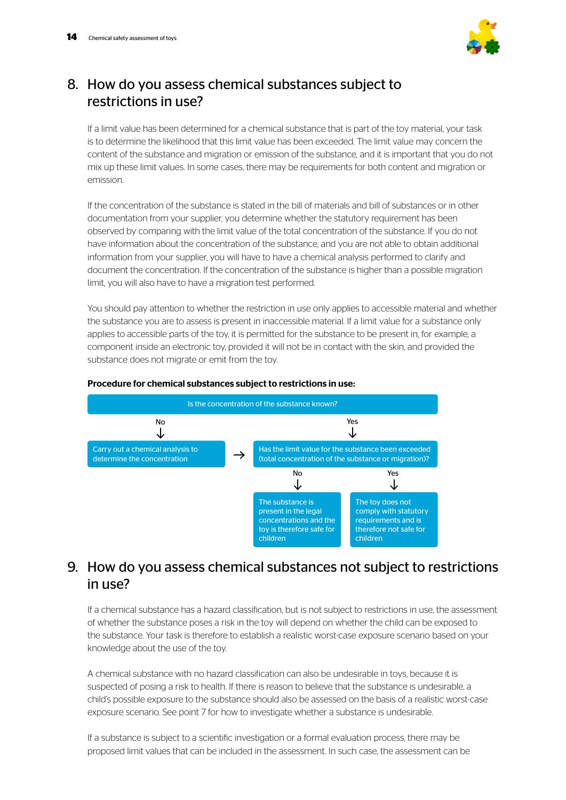

## 8. How do you assess chemical substances subject to restrictions in use?

If a limit value has been determined for a chemical substance that is part of the toy material, your task is to determine the likelihood that this limit value has been exceeded. The limit value may concern the content of the substance and migration or emission of the substance, and it is important that you do not mix up these limit values. In some cases, there may be requirements for both content and migration or emission.

If the concentration of the substance is stated in the bill of materials and bill of substances or in other documentation from your supplier, you determine whether the statutory requirement has been observed by comparing with the limit value of the total concentration of the substance. If you do not have information about the concentration of the substance, and you are not able to obtain additional information from your supplier, you will have to have a chemical analysis performed to clarify and document the concentration. If the concentration of the substance is higher than a possible migration limit, you will also have to have a migration test performed.

You should pay attention to whether the restriction in use only applies to accessible material and whether the substance you are to assess is present in inaccessible material. If a limit value for a substance only applies to accessible parts of the toy, it is permitted for the substance to be present in, for example, a component inside an electronic toy, provided it will not be in contact with the skin, and provided the substance does not migrate or emit from the toy.



### Procedure for chemical substances subject to restrictions in use:

### 9. How do you assess chemical substances not subject to restrictions  $in$   $115P<sup>2</sup>$

If a chemical substance has a hazard classification, but is not subject to restrictions in use, the assessment of whether the substance poses a risk in the toy will depend on whether the child can be exposed to the substance. Your task is therefore to establish a realistic worst-case exposure scenario based on your knowledge about the use of the toy.

A chemical substance with no hazard classification can also be undesirable in toys, because it is suspected of posing a risk to health. If there is reason to believe that the substance is undesirable, a child's possible exposure to the substance should also be assessed on the basis of a realistic worst-case exposure scenario. See point 7 for how to investigate whether a substance is undesirable.

If a substance is subject to a scientific investigation or a formal evaluation process, there may be proposed limit values that can be included in the assessment. In such case, the assessment can be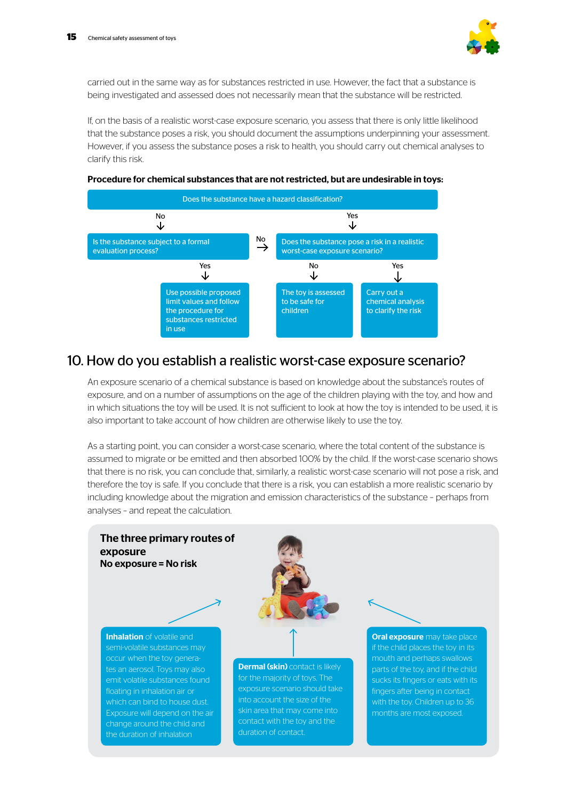

carried out in the same way as for substances restricted in use. However, the fact that a substance is being investigated and assessed does not necessarily mean that the substance will be restricted.

If, on the basis of a realistic worst-case exposure scenario, you assess that there is only little likelihood that the substance poses a risk, you should document the assumptions underpinning your assessment. However, if you assess the substance poses a risk to health, you should carry out chemical analyses to clarify this risk.



#### Procedure for chemical substances that are not restricted, but are undesirable in toys:

### 10. How do you establish a realistic worst-case exposure scenario?

An exposure scenario of a chemical substance is based on knowledge about the substance's routes of exposure, and on a number of assumptions on the age of the children playing with the toy, and how and in which situations the toy will be used. It is not sufficient to look at how the toy is intended to be used, it is also important to take account of how children are otherwise likely to use the toy.

As a starting point, you can consider a worst-case scenario, where the total content of the substance is assumed to migrate or be emitted and then absorbed 100% by the child. If the worst-case scenario shows that there is no risk, you can conclude that, similarly, a realistic worst-case scenario will not pose a risk, and therefore the toy is safe. If you conclude that there is a risk, you can establish a more realistic scenario by including knowledge about the migration and emission characteristics of the substance – perhaps from analyses – and repeat the calculation.

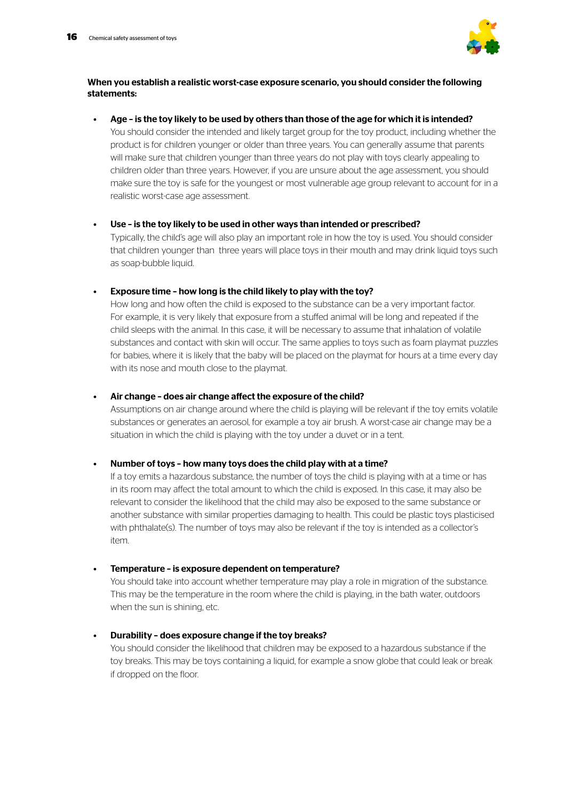

### When you establish a realistic worst-case exposure scenario, you should consider the following statements:

Age - is the toy likely to be used by others than those of the age for which it is intended? You should consider the intended and likely target group for the toy product, including whether the product is for children younger or older than three years. You can generally assume that parents will make sure that children younger than three years do not play with toys clearly appealing to children older than three years. However, if you are unsure about the age assessment, you should make sure the toy is safe for the youngest or most vulnerable age group relevant to account for in a realistic worst-case age assessment.

#### Use - is the toy likely to be used in other ways than intended or prescribed?

Typically, the child's age will also play an important role in how the toy is used. You should consider that children younger than three years will place toys in their mouth and may drink liquid toys such as soap-bubble liquid.

### • Exposure time – how long is the child likely to play with the toy?

How long and how often the child is exposed to the substance can be a very important factor. For example, it is very likely that exposure from a stuffed animal will be long and repeated if the child sleeps with the animal. In this case, it will be necessary to assume that inhalation of volatile substances and contact with skin will occur. The same applies to toys such as foam playmat puzzles for babies, where it is likely that the baby will be placed on the playmat for hours at a time every day with its nose and mouth close to the playmat.

#### • Air change – does air change affect the exposure of the child?

Assumptions on air change around where the child is playing will be relevant if the toy emits volatile substances or generates an aerosol, for example a toy air brush. A worst-case air change may be a situation in which the child is playing with the toy under a duvet or in a tent.

### • Number of toys – how many toys does the child play with at a time?

If a toy emits a hazardous substance, the number of toys the child is playing with at a time or has in its room may affect the total amount to which the child is exposed. In this case, it may also be relevant to consider the likelihood that the child may also be exposed to the same substance or another substance with similar properties damaging to health. This could be plastic toys plasticised with phthalate(s). The number of toys may also be relevant if the toy is intended as a collector's item.

### • Temperature – is exposure dependent on temperature?

You should take into account whether temperature may play a role in migration of the substance. This may be the temperature in the room where the child is playing, in the bath water, outdoors when the sun is shining, etc.

#### • Durability – does exposure change if the toy breaks?

You should consider the likelihood that children may be exposed to a hazardous substance if the toy breaks. This may be toys containing a liquid, for example a snow globe that could leak or break if dropped on the floor.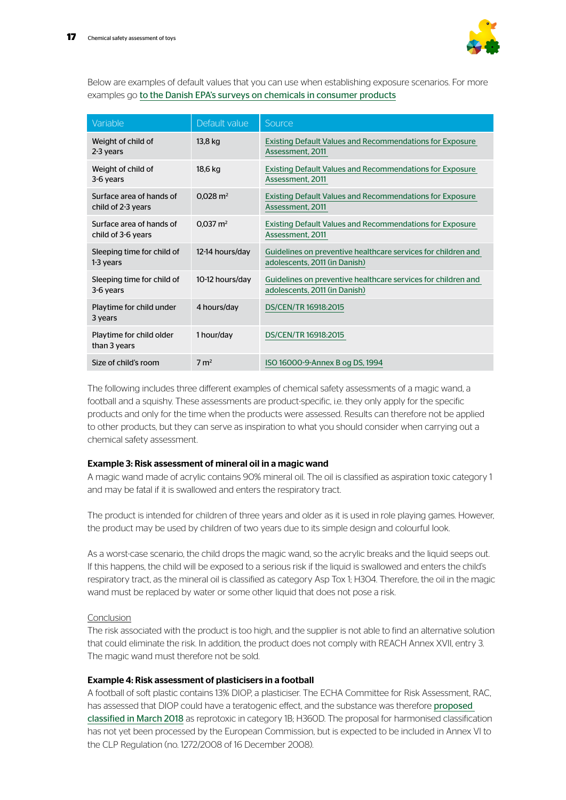

Below are examples of default values that you can use when establishing exposure scenarios. For more examples go [to the Danish EPA's surveys on chemicals in consumer product](https://eng.mst.dk/chemicals/chemicals-in-products/consumers-consumer-products/danish-surveys-on-consumer-products/)s

| Variable                                       | Default value       | Source                                                                                         |
|------------------------------------------------|---------------------|------------------------------------------------------------------------------------------------|
| Weight of child of<br>2-3 years                | 13,8 kg             | <b>Existing Default Values and Recommendations for Exposure</b><br>Assessment, 2011            |
| Weight of child of<br>3-6 years                | 18,6 kg             | <b>Existing Default Values and Recommendations for Exposure</b><br>Assessment, 2011            |
| Surface area of hands of<br>child of 2-3 years | $0.028 \text{ m}^2$ | <b>Existing Default Values and Recommendations for Exposure</b><br>Assessment, 2011            |
| Surface area of hands of<br>child of 3-6 years | $0.037 \text{ m}^2$ | <b>Existing Default Values and Recommendations for Exposure</b><br>Assessment, 2011            |
| Sleeping time for child of<br>1-3 years        | 12-14 hours/day     | Guidelines on preventive healthcare services for children and<br>adolescents, 2011 (in Danish) |
| Sleeping time for child of<br>3-6 years        | 10-12 hours/day     | Guidelines on preventive healthcare services for children and<br>adolescents, 2011 (in Danish) |
| Playtime for child under<br>3 years            | 4 hours/day         | DS/CEN/TR 16918:2015                                                                           |
| Playtime for child older<br>than 3 years       | 1 hour/day          | DS/CEN/TR 16918:2015                                                                           |
| Size of child's room                           | $7 \text{ m}^2$     | ISO 16000-9-Annex B og DS, 1994                                                                |

The following includes three different examples of chemical safety assessments of a magic wand, a football and a squishy. These assessments are product-specific, i.e. they only apply for the specific products and only for the time when the products were assessed. Results can therefore not be applied to other products, but they can serve as inspiration to what you should consider when carrying out a chemical safety assessment.

### Example 3: Risk assessment of mineral oil in a magic wand

A magic wand made of acrylic contains 90% mineral oil. The oil is classified as aspiration toxic category 1 and may be fatal if it is swallowed and enters the respiratory tract.

The product is intended for children of three years and older as it is used in role playing games. However, the product may be used by children of two years due to its simple design and colourful look.

As a worst-case scenario, the child drops the magic wand, so the acrylic breaks and the liquid seeps out. If this happens, the child will be exposed to a serious risk if the liquid is swallowed and enters the child's respiratory tract, as the mineral oil is classified as category Asp Tox 1; H304. Therefore, the oil in the magic wand must be replaced by water or some other liquid that does not pose a risk.

### Conclusion

The risk associated with the product is too high, and the supplier is not able to find an alternative solution that could eliminate the risk. In addition, the product does not comply with REACH Annex XVII, entry 3. The magic wand must therefore not be sold.

### Example 4: Risk assessment of plasticisers in a football

A football of soft plastic contains 13% DIOP, a plasticiser. The ECHA Committee for Risk Assessment, RAC, has assessed that DIOP could have a teratogenic effect, and the substance was therefore proposed [classified in March 2018](https://echa.europa.eu/documents/10162/03fc2a7f-ff3b-09ad-e6ad-7cde56fd6d5e ) as reprotoxic in category 1B; H360D. The proposal for harmonised classification has not yet been processed by the European Commission, but is expected to be included in Annex VI to the CLP Regulation (no. 1272/2008 of 16 December 2008).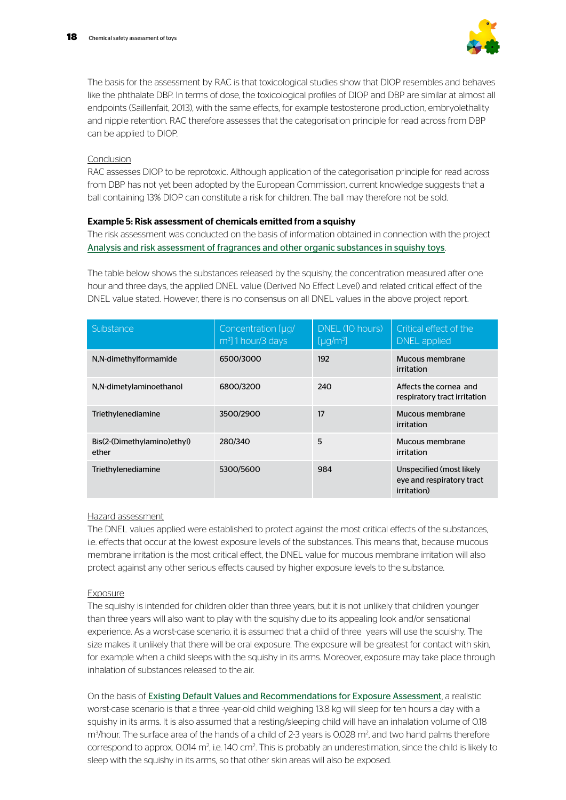

The basis for the assessment by RAC is that toxicological studies show that DIOP resembles and behaves like the phthalate DBP. In terms of dose, the toxicological profiles of DIOP and DBP are similar at almost all endpoints (Saillenfait, 2013), with the same effects, for example testosterone production, embryolethality and nipple retention. RAC therefore assesses that the categorisation principle for read across from DBP can be applied to DIOP.

### Conclusion

RAC assesses DIOP to be reprotoxic. Although application of the categorisation principle for read across from DBP has not yet been adopted by the European Commission, current knowledge suggests that a ball containing 13% DIOP can constitute a risk for children. The ball may therefore not be sold.

### Example 5: Risk assessment of chemicals emitted from a squishy

The risk assessment was conducted on the basis of information obtained in connection with the project [Analysis and risk assessment of fragrances and other organic substances in squishy toys](https://mst.dk/service/publikationer/publikationsarkiv/2018/aug/analysis-and-risk-assessment-of-fragrances-and-other-organic-substances-in-squishy-toys/).

The table below shows the substances released by the squishy, the concentration measured after one hour and three days, the applied DNEL value (Derived No Effect Level) and related critical effect of the DNEL value stated. However, there is no consensus on all DNEL values in the above project report.

| Substance                            | Concentration [µg/<br>m <sup>3</sup> ] 1 hour/3 days | DNEL (10 hours)<br>[µg/m <sup>3</sup> ] | Critical effect of the<br>DNEL applied                                       |
|--------------------------------------|------------------------------------------------------|-----------------------------------------|------------------------------------------------------------------------------|
| N,N-dimethylformamide                | 6500/3000                                            | 192                                     | Mucous membrane<br>irritation                                                |
| N,N-dimetylaminoethanol              | 6800/3200                                            | 240                                     | Affects the cornea and<br>respiratory tract irritation                       |
| Triethylenediamine                   | 3500/2900                                            | 17                                      | Mucous membrane<br>irritation                                                |
| Bis(2-(Dimethylamino)ethyl)<br>ether | 280/340                                              | 5                                       | Mucous membrane<br>irritation                                                |
| Triethylenediamine                   | 5300/5600                                            | 984                                     | Unspecified (most likely<br>eye and respiratory tract<br><i>irritation</i> ) |

### Hazard assessment

The DNEL values applied were established to protect against the most critical effects of the substances, i.e. effects that occur at the lowest exposure levels of the substances. This means that, because mucous membrane irritation is the most critical effect, the DNEL value for mucous membrane irritation will also protect against any other serious effects caused by higher exposure levels to the substance.

### Exposure

The squishy is intended for children older than three years, but it is not unlikely that children younger than three years will also want to play with the squishy due to its appealing look and/or sensational experience. As a worst-case scenario, it is assumed that a child of three years will use the squishy. The size makes it unlikely that there will be oral exposure. The exposure will be greatest for contact with skin, for example when a child sleeps with the squishy in its arms. Moreover, exposure may take place through inhalation of substances released to the air.

On the basis of [Existing Default Values and Recommendations for Exposure Assessmen](https://orbit.dtu.dk/ws/files/52688829/Exposure_rapport.pdf)t, a realistic worst-case scenario is that a three -year-old child weighing 13.8 kg will sleep for ten hours a day with a squishy in its arms. It is also assumed that a resting/sleeping child will have an inhalation volume of 0.18 m<sup>3</sup>/hour. The surface area of the hands of a child of 2-3 years is 0.028 m<sup>2</sup>, and two hand palms therefore correspond to approx. 0.014 m<sup>2</sup>, i.e. 140 cm<sup>2</sup>. This is probably an underestimation, since the child is likely to sleep with the squishy in its arms, so that other skin areas will also be exposed.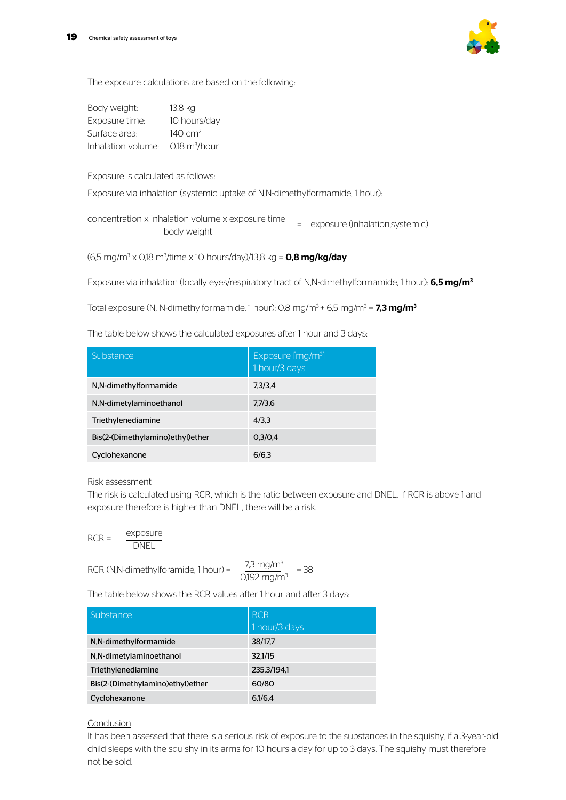

The exposure calculations are based on the following:

| Body weight:       | 13.8 kg                  |
|--------------------|--------------------------|
| Exposure time:     | 10 hours/day             |
| Surface area:      | $140 \, \text{cm}^2$     |
| Inhalation volume: | $0.18 \text{ m}^3$ /hour |

Exposure is calculated as follows:

Exposure via inhalation (systemic uptake of N,N-dimethylformamide, 1 hour):

concentration x inhalation volume x exposure time  $\frac{1}{\sqrt{1-\frac{1}{\sqrt{1-\frac{1}{\sqrt{1-\frac{1}{\sqrt{1-\frac{1}{\sqrt{1-\frac{1}{\sqrt{1-\frac{1}{\sqrt{1-\frac{1}{\sqrt{1-\frac{1}{\sqrt{1-\frac{1}{\sqrt{1-\frac{1}{\sqrt{1-\frac{1}{\sqrt{1-\frac{1}{\sqrt{1-\frac{1}{\sqrt{1-\frac{1}{\sqrt{1-\frac{1}{\sqrt{1-\frac{1}{\sqrt{1-\frac{1}{\sqrt{1-\frac{1}{\sqrt{1-\frac{1}{\sqrt{1-\frac{1}{\sqrt{1-\frac{1}{\sqrt{1-\frac{1}{\sqrt{1-\frac{1}{\sqrt{1-\frac{1$ 

(6,5 mg/m<sup>3</sup> x 0,18 m<sup>3</sup>/time x 10 hours/day)/13,8 kg = **0,8 mg/kg/day** 

Exposure via inhalation (locally eyes/respiratory tract of N,N-dimethylformamide, 1 hour):  $6,5$  mg/m<sup>3</sup>

Total exposure (N, N-dimethylformamide, 1 hour): 0,8 mg/m<sup>3</sup> + 6,5 mg/m<sup>3</sup> = **7,3 mg/m<sup>3</sup>** 

The table below shows the calculated exposures after 1 hour and 3 days:

| Substance                        | Exposure [mg/m <sup>3</sup> ]<br>1 hour/3 days |
|----------------------------------|------------------------------------------------|
| N,N-dimethylformamide            | 7.3/3.4                                        |
| N,N-dimetylaminoethanol          | 7,7/3,6                                        |
| Triethylenediamine               | 4/3.3                                          |
| Bis(2-(Dimethylamino)ethyl)ether | 0.3/0.4                                        |
| Cyclohexanone                    | 6/6.3                                          |

#### Risk assessment

The risk is calculated using RCR, which is the ratio between exposure and DNEL. If RCR is above 1 and exposure therefore is higher than DNEL, there will be a risk.

$$
RCR = \frac{\text{exposure}}{\text{DNEL}}
$$

RCR (N,N-dimethylforamide, 1 hour) =  $\sqrt{ }$ 

$$
\frac{7.3 \text{ mg/m}^3}{2.192 \text{ mg/m}^3} = 38
$$

The table below shows the RCR values after 1 hour and after 3 days:

| Substance                        | <b>RCR</b><br>1 hour/3 days |
|----------------------------------|-----------------------------|
| N,N-dimethylformamide            | 38/17,7                     |
| N,N-dimetylaminoethanol          | 32.1/15                     |
| Triethylenediamine               | 235.3/194.1                 |
| Bis(2-(Dimethylamino)ethyl)ether | 60/80                       |
| Cyclohexanone                    | 6,1/6,4                     |

#### **Conclusion**

It has been assessed that there is a serious risk of exposure to the substances in the squishy, if a 3-year-old child sleeps with the squishy in its arms for 10 hours a day for up to 3 days. The squishy must therefore not be sold.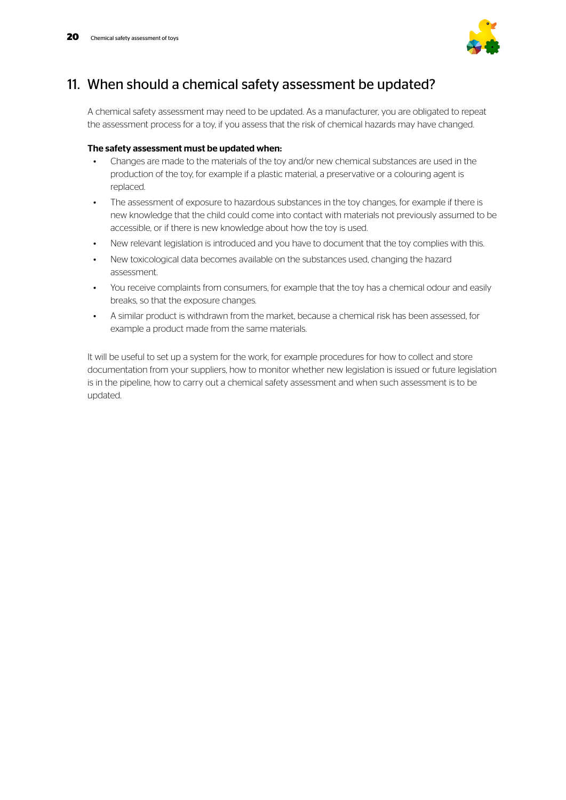

### 11. When should a chemical safety assessment be updated?

A chemical safety assessment may need to be updated. As a manufacturer, you are obligated to repeat the assessment process for a toy, if you assess that the risk of chemical hazards may have changed.

### The safety assessment must be updated when:

- Changes are made to the materials of the toy and/or new chemical substances are used in the production of the toy, for example if a plastic material, a preservative or a colouring agent is replaced.
- The assessment of exposure to hazardous substances in the toy changes, for example if there is new knowledge that the child could come into contact with materials not previously assumed to be accessible, or if there is new knowledge about how the toy is used.
- New relevant legislation is introduced and you have to document that the toy complies with this.
- New toxicological data becomes available on the substances used, changing the hazard assessment.
- You receive complaints from consumers, for example that the toy has a chemical odour and easily breaks, so that the exposure changes.
- A similar product is withdrawn from the market, because a chemical risk has been assessed, for example a product made from the same materials.

It will be useful to set up a system for the work, for example procedures for how to collect and store documentation from your suppliers, how to monitor whether new legislation is issued or future legislation is in the pipeline, how to carry out a chemical safety assessment and when such assessment is to be updated.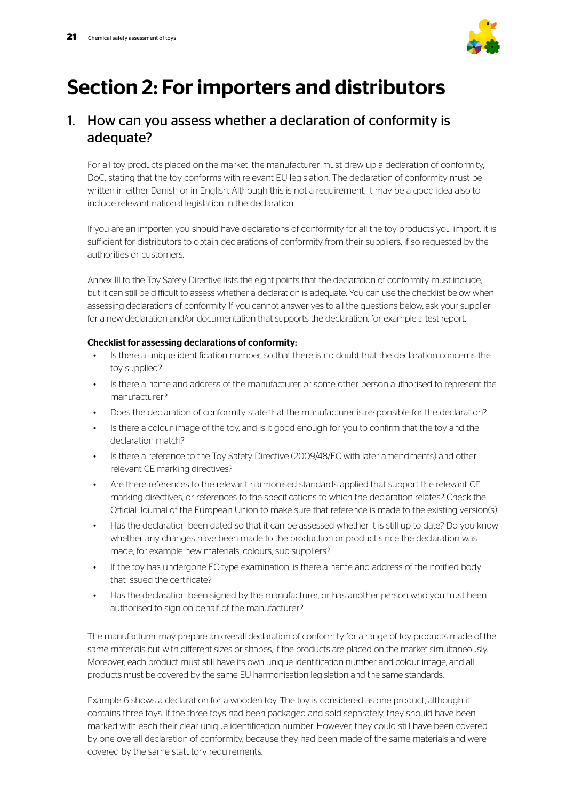

# Section 2: For importers and distributors

### 1. How can you assess whether a declaration of conformity is adequate?

For all toy products placed on the market, the manufacturer must draw up a declaration of conformity, DoC, stating that the toy conforms with relevant EU legislation. The declaration of conformity must be written in either Danish or in English. Although this is not a requirement, it may be a good idea also to include relevant national legislation in the declaration.

If you are an importer, you should have declarations of conformity for all the toy products you import. It is sufficient for distributors to obtain declarations of conformity from their suppliers, if so requested by the authorities or customers.

Annex III to the Toy Safety Directive lists the eight points that the declaration of conformity must include, but it can still be difficult to assess whether a declaration is adequate. You can use the checklist below when assessing declarations of conformity. If you cannot answer yes to all the questions below, ask your supplier for a new declaration and/or documentation that supports the declaration, for example a test report.

### Checklist for assessing declarations of conformity:

- Is there a unique identification number, so that there is no doubt that the declaration concerns the toy supplied?
- Is there a name and address of the manufacturer or some other person authorised to represent the manufacturer?
- Does the declaration of conformity state that the manufacturer is responsible for the declaration?
- Is there a colour image of the toy, and is it good enough for you to confirm that the toy and the declaration match?
- Is there a reference to the Toy Safety Directive (2009/48/EC with later amendments) and other relevant CE marking directives?
- Are there references to the relevant harmonised standards applied that support the relevant CE marking directives, or references to the specifications to which the declaration relates? Check the Official Journal of the European Union to make sure that reference is made to the existing version(s).
- Has the declaration been dated so that it can be assessed whether it is still up to date? Do you know whether any changes have been made to the production or product since the declaration was made, for example new materials, colours, sub-suppliers?
- If the toy has undergone EC-type examination, is there a name and address of the notified body that issued the certificate?
- Has the declaration been signed by the manufacturer, or has another person who you trust been authorised to sign on behalf of the manufacturer?

The manufacturer may prepare an overall declaration of conformity for a range of toy products made of the same materials but with different sizes or shapes, if the products are placed on the market simultaneously. Moreover, each product must still have its own unique identification number and colour image, and all products must be covered by the same EU harmonisation legislation and the same standards.

Example 6 shows a declaration for a wooden toy. The toy is considered as one product, although it contains three toys. If the three toys had been packaged and sold separately, they should have been marked with each their clear unique identification number. However, they could still have been covered by one overall declaration of conformity, because they had been made of the same materials and were covered by the same statutory requirements.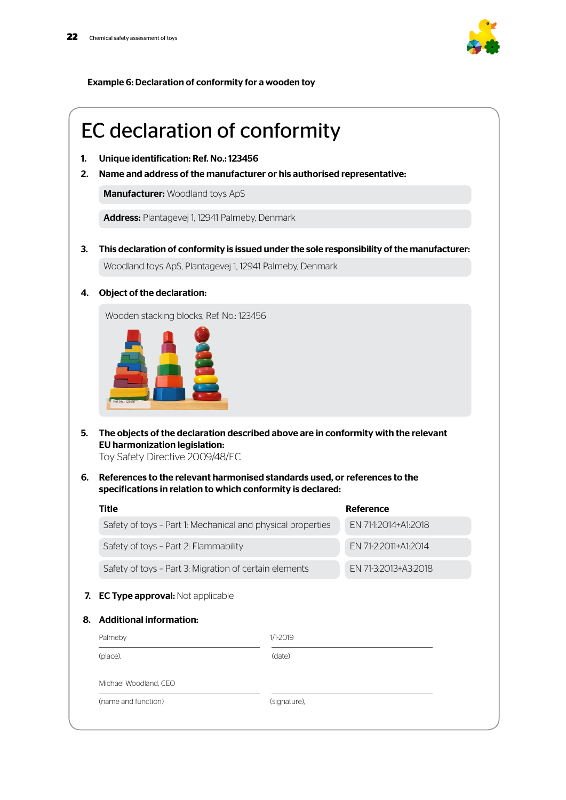

Example 6: Declaration of conformity for a wooden toy

# EC declaration of conformity

- 1. Unique identification: Ref. No.: 123456
- 2. Name and address of the manufacturer or his authorised representative:

**Manufacturer: Woodland toys ApS** 

Address: Plantagevej 1, 12941 Palmeby, Denmark

- 3. This declaration of conformity is issued under the sole responsibility of the manufacturer: Woodland toys ApS, Plantagevej 1, 12941 Palmeby, Denmark
- 4. Object of the declaration:

Wooden stacking blocks, Ref. No.: 123456



5. The objects of the declaration described above are in conformity with the relevant EU harmonization legislation:

Toy Safety Directive 2009/48/EC

6. References to the relevant harmonised standards used, or references to the specifications in relation to which conformity is declared:

| Title                                                       |              | Reference            |
|-------------------------------------------------------------|--------------|----------------------|
| Safety of toys - Part 1: Mechanical and physical properties |              | EN 71-1:2014+A1:2018 |
| Safety of toys - Part 2: Flammability                       |              | EN 71-2:2011+A1:2014 |
| Safety of toys - Part 3: Migration of certain elements      |              | EN 71-3:2013+A3:2018 |
| 7. EC Type approval: Not applicable                         |              |                      |
|                                                             |              |                      |
| 8. Additional information:                                  |              |                      |
| Palmeby                                                     | 1/1-2019     |                      |
| (place),                                                    | (date)       |                      |
| Michael Woodland, CEO                                       |              |                      |
| (name and function)                                         | (signature), |                      |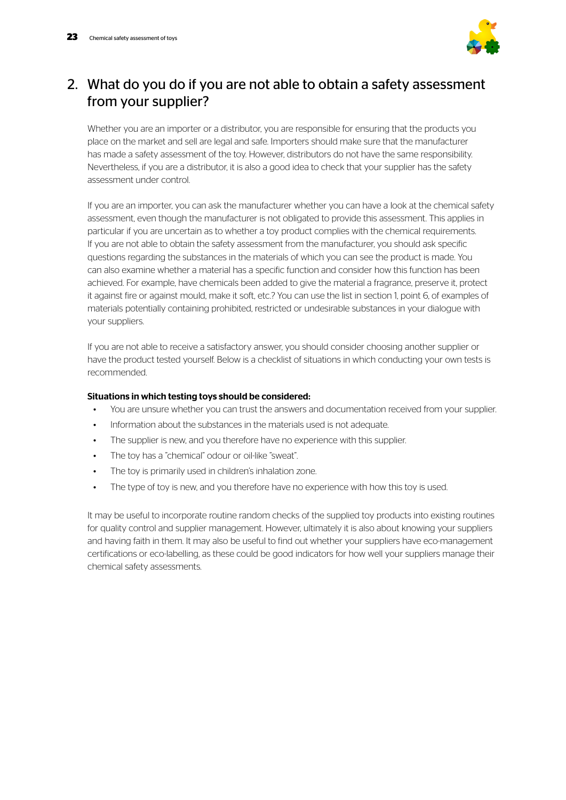

## 2. What do you do if you are not able to obtain a safety assessment from your supplier?

Whether you are an importer or a distributor, you are responsible for ensuring that the products you place on the market and sell are legal and safe. Importers should make sure that the manufacturer has made a safety assessment of the toy. However, distributors do not have the same responsibility. Nevertheless, if you are a distributor, it is also a good idea to check that your supplier has the safety assessment under control.

If you are an importer, you can ask the manufacturer whether you can have a look at the chemical safety assessment, even though the manufacturer is not obligated to provide this assessment. This applies in particular if you are uncertain as to whether a toy product complies with the chemical requirements. If you are not able to obtain the safety assessment from the manufacturer, you should ask specific questions regarding the substances in the materials of which you can see the product is made. You can also examine whether a material has a specific function and consider how this function has been achieved. For example, have chemicals been added to give the material a fragrance, preserve it, protect it against fire or against mould, make it soft, etc.? You can use the list in section 1, point 6, of examples of materials potentially containing prohibited, restricted or undesirable substances in your dialogue with your suppliers.

If you are not able to receive a satisfactory answer, you should consider choosing another supplier or have the product tested yourself. Below is a checklist of situations in which conducting your own tests is recommended.

### Situations in which testing toys should be considered:

- You are unsure whether you can trust the answers and documentation received from your supplier.
- Information about the substances in the materials used is not adequate.
- The supplier is new, and you therefore have no experience with this supplier.
- The toy has a "chemical" odour or oil-like "sweat".
- The toy is primarily used in children's inhalation zone.
- The type of toy is new, and you therefore have no experience with how this toy is used.

It may be useful to incorporate routine random checks of the supplied toy products into existing routines for quality control and supplier management. However, ultimately it is also about knowing your suppliers and having faith in them. It may also be useful to find out whether your suppliers have eco-management certifications or eco-labelling, as these could be good indicators for how well your suppliers manage their chemical safety assessments.